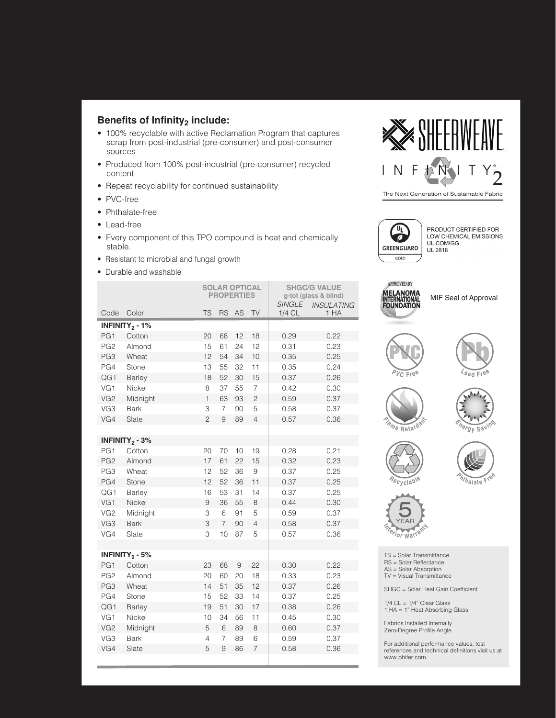## **Benefits of Infinity2 include:**

- 100% recyclable with active Reclamation Program that captures scrap from post-industrial (pre-consumer) and post-consumer sources
- Produced from 100% post-industrial (pre-consumer) recycled content
- Repeat recyclability for continued sustainability
- PVC-free
- Phthalate-free
- Lead-free
- Every component of this TPO compound is heat and chemically stable.
- Resistant to microbial and fungal growth
- Durable and washable



 $\overline{\mathbb{F}}$  $\overline{\phantom{a}}$ GREENGUARD  $GOLD$ 

PRODUCT CERTIFIED FOR LOW CHEMICAL EMISSIONS UL.COM/GG **UL 2818** 

|                 |                              | <b>SOLAR OPTICAL</b><br><b>PROPERTIES</b> |                |                |                | <b>SHGC/G VALUE</b><br>g-tot (glass & blind)<br><b>SINGLE</b> |                           |
|-----------------|------------------------------|-------------------------------------------|----------------|----------------|----------------|---------------------------------------------------------------|---------------------------|
| Code            | Color                        | <b>TS</b>                                 | <b>RS</b>      | AS             | <b>TV</b>      | 1/4 CL                                                        | <b>INSULATING</b><br>1 HA |
|                 | INFINITY <sub>2</sub> - 1%   |                                           |                |                |                |                                                               |                           |
| PG1             | Cotton                       | 20                                        | 68             | 12             | 18             | 0.29                                                          | 0.22                      |
| PG <sub>2</sub> | Almond                       | 15                                        | 61             | 24             | 12             | 0.31                                                          | 0.23                      |
| PG3             | Wheat                        | 12                                        | 54             | 34             | 10             | 0.35                                                          | 0.25                      |
| PG4             | <b>Stone</b>                 | 13                                        | 55             | 32             | 11             | 0.35                                                          | 0.24                      |
| QG1             | <b>Barley</b>                | 18                                        | 52             | 30             | 15             | 0.37                                                          | 0.26                      |
| VG1             | Nickel                       | 8                                         | 37             | 55             | 7              | 0.42                                                          | 0.30                      |
| VG <sub>2</sub> | Midnight                     | $\mathbf{1}$                              | 63             | 93             | $\overline{c}$ | 0.59                                                          | 0.37                      |
| VG3             | <b>Bark</b>                  | 3                                         | $\overline{7}$ | 90             | 5              | 0.58                                                          | 0.37                      |
| VG4             | Slate                        | $\overline{c}$                            | $\overline{9}$ | 89             | $\overline{4}$ | 0.57                                                          | 0.36                      |
|                 |                              |                                           |                |                |                |                                                               |                           |
|                 | INFINITY <sub>2</sub> - $3%$ |                                           |                |                |                |                                                               |                           |
| PG1             | Cotton                       | 20                                        | 70             | 10             | 19             | 0.28                                                          | 0.21                      |
| PG <sub>2</sub> | Almond                       | 17                                        | 61             | 22             | 15             | 0.32                                                          | 0.23                      |
| PG3             | Wheat                        | 12                                        | 52             | 36             | 9              | 0.37                                                          | 0.25                      |
| PG4             | <b>Stone</b>                 | 12                                        | 52             | 36             | 11             | 0.37                                                          | 0.25                      |
| QG1             | <b>Barley</b>                | 16                                        | 53             | 31             | 14             | 0.37                                                          | 0.25                      |
| VG1             | Nickel                       | $\overline{9}$                            | 36             | 55             | 8              | 0.44                                                          | 0.30                      |
| VG <sub>2</sub> | Midnight                     | 3                                         | 6              | 91             | 5              | 0.59                                                          | 0.37                      |
| VG3             | <b>Bark</b>                  | 3                                         | $\overline{7}$ | 90             | $\overline{4}$ | 0.58                                                          | 0.37                      |
| VG4             | Slate                        | 3                                         | 10             | 87             | 5              | 0.57                                                          | 0.36                      |
|                 |                              |                                           |                |                |                |                                                               |                           |
|                 | INFINITY <sub>2</sub> - 5%   |                                           |                |                |                |                                                               |                           |
| PG1             | Cotton                       | 23                                        | 68             | $\overline{9}$ | 22             | 0.30                                                          | 0.22                      |
| PG <sub>2</sub> | Almond                       | 20                                        | 60             | 20             | 18             | 0.33                                                          | 0.23                      |
| PG3             | Wheat                        | 14                                        | 51             | 35             | 12             | 0.37                                                          | 0.26                      |
| PG4             | Stone                        | 15                                        | 52             | 33             | 14             | 0.37                                                          | 0.25                      |
| QG1             | <b>Barley</b>                | 19                                        | 51             | 30             | 17             | 0.38                                                          | 0.26                      |
| VG1             | Nickel                       | 10                                        | 34             | 56             | 11             | 0.45                                                          | 0.30                      |
| VG <sub>2</sub> | Midnight                     | 5                                         | 6              | 89             | 8              | 0.60                                                          | 0.37                      |
| VG3             | <b>Bark</b>                  | 4                                         | $\overline{7}$ | 89             | 6              | 0.59                                                          | 0.37                      |
| VG4             | Slate                        | 5                                         | 9              | 86             | $\overline{7}$ | 0.58                                                          | 0.36                      |



MIF Seal of Approval















TS = Solar Transmittance RS = Solar Reflectance AS = Solar Absorption TV = Visual Transmittance

SHGC = Solar Heat Gain Coefficient

 $1/4$  CL =  $1/4$ " Clear Glass 1 HA = 1" Heat Absorbing Glass

Fabrics Installed Internally Zero-Degree Profile Angle

For additional performance values, test references and technical definitions visit us at www.phifer.com.